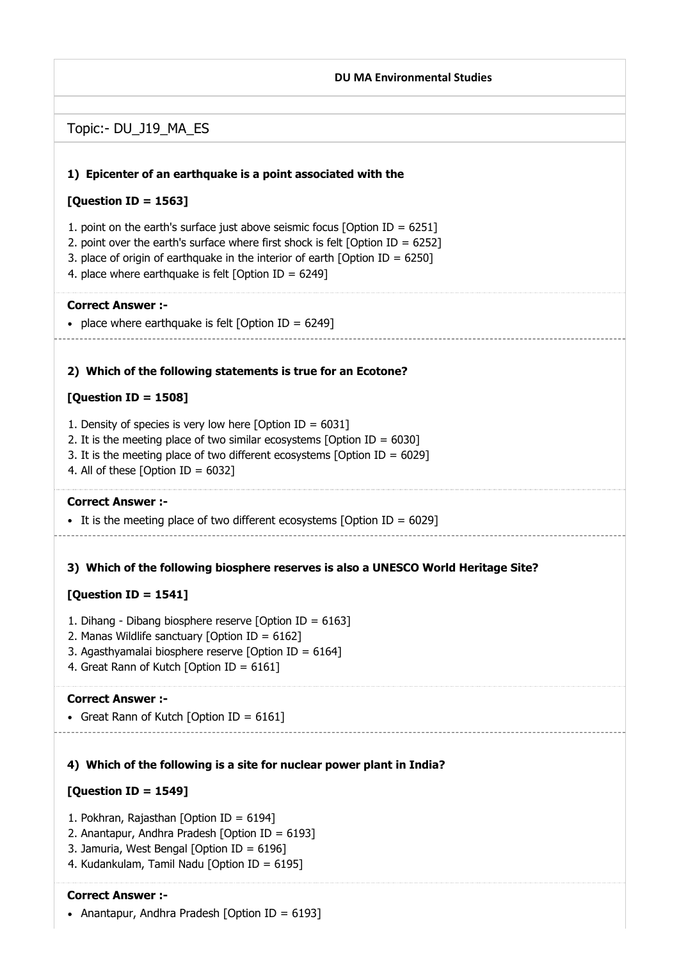# 1) Epicenter of an earthquake is a point associated with the 2) Which of the following statements is true for an Ecotone? 3) Which of the following biosphere reserves is also a UNESCO World Heritage Site? 4) Which of the following is a site for nuclear power plant in India? DU MA Environmental Studies Topic:- DU\_J19\_MA\_ES [Question ID = 1563] 1. point on the earth's surface just above seismic focus [Option ID = 6251] 2. point over the earth's surface where first shock is felt [Option ID =  $6252$ ] 3. place of origin of earthquake in the interior of earth [Option ID =  $6250$ ] 4. place where earthquake is felt [Option ID =  $6249$ ] Correct Answer :- • place where earthquake is felt [Option ID =  $6249$ ]  $[Question ID = 1508]$ 1. Density of species is very low here  $[Option ID = 6031]$ 2. It is the meeting place of two similar ecosystems  $[Option ID = 6030]$ 3. It is the meeting place of two different ecosystems [Option ID =  $6029$ ] 4. All of these  $[Option ID = 6032]$ Correct Answer :- It is the meeting place of two different ecosystems [Option ID =  $6029$ ]  $[Question ID = 1541]$ 1. Dihang - Dibang biosphere reserve [Option ID = 6163] 2. Manas Wildlife sanctuary [Option ID = 6162] 3. Agasthyamalai biosphere reserve [Option ID =  $6164$ ] 4. Great Rann of Kutch [Option ID = 6161] Correct Answer :- • Great Rann of Kutch [Option ID =  $6161$ ] [Question ID = 1549]

- 1. Pokhran, Rajasthan [Option ID = 6194]
- 2. Anantapur, Andhra Pradesh [Option ID = 6193]
- 3. Jamuria, West Bengal [Option ID = 6196]
- 4. Kudankulam, Tamil Nadu [Option ID = 6195]

## Correct Answer :-

• Anantapur, Andhra Pradesh [Option ID = 6193]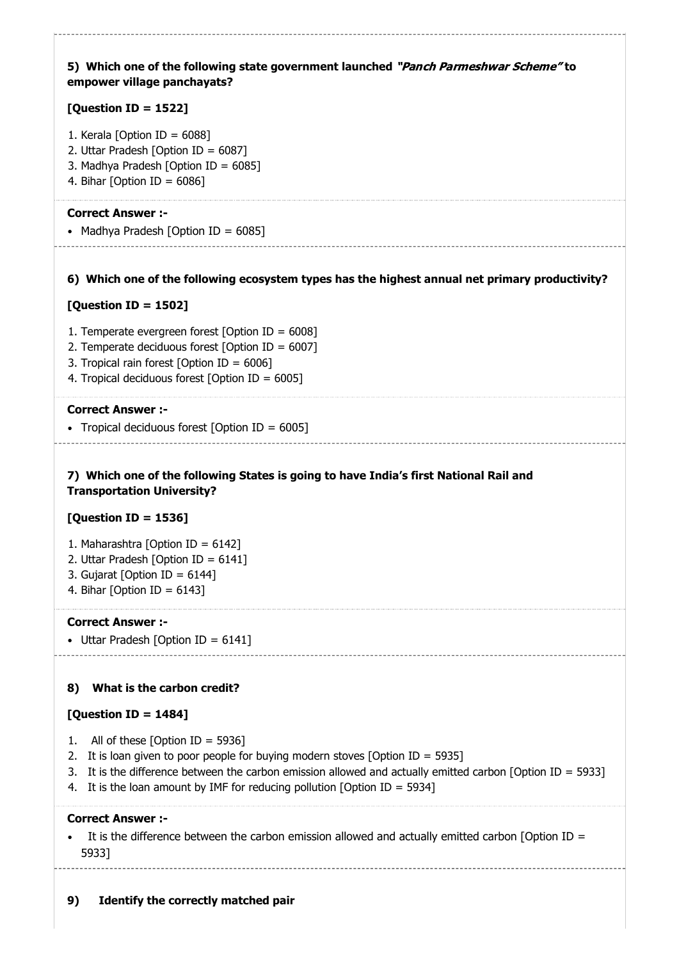| 5) Which one of the following state government launched "Panch Parmeshwar Scheme" to<br>empower village panchayats?                                                                                                                                                                                                         |
|-----------------------------------------------------------------------------------------------------------------------------------------------------------------------------------------------------------------------------------------------------------------------------------------------------------------------------|
| [Question ID = 1522]                                                                                                                                                                                                                                                                                                        |
| 1. Kerala [Option ID = $6088$ ]<br>2. Uttar Pradesh [Option ID = $6087$ ]<br>3. Madhya Pradesh [Option ID = 6085]<br>4. Bihar [Option ID = $6086$ ]                                                                                                                                                                         |
| <b>Correct Answer :-</b><br>• Madhya Pradesh [Option ID = $6085$ ]                                                                                                                                                                                                                                                          |
| 6) Which one of the following ecosystem types has the highest annual net primary productivity?                                                                                                                                                                                                                              |
| [Question ID = 1502]                                                                                                                                                                                                                                                                                                        |
| 1. Temperate evergreen forest [Option ID = $6008$ ]<br>2. Temperate deciduous forest [Option ID = $6007$ ]<br>3. Tropical rain forest [Option ID = $6006$ ]<br>4. Tropical deciduous forest [Option ID = $6005$ ]                                                                                                           |
| <b>Correct Answer :-</b>                                                                                                                                                                                                                                                                                                    |
| • Tropical deciduous forest [Option ID = $6005$ ]                                                                                                                                                                                                                                                                           |
| 7) Which one of the following States is going to have India's first National Rail and<br><b>Transportation University?</b>                                                                                                                                                                                                  |
| [Question ID = 1536]                                                                                                                                                                                                                                                                                                        |
| 1. Maharashtra [Option ID = 6142]<br>2. Uttar Pradesh [Option ID = $6141$ ]<br>3. Gujarat [Option ID = $6144$ ]<br>4. Bihar [Option ID = $6143$ ]                                                                                                                                                                           |
| <b>Correct Answer :-</b>                                                                                                                                                                                                                                                                                                    |
| • Uttar Pradesh [Option ID = $6141$ ]                                                                                                                                                                                                                                                                                       |
|                                                                                                                                                                                                                                                                                                                             |
| What is the carbon credit?<br>8)                                                                                                                                                                                                                                                                                            |
| [Question ID = 1484]                                                                                                                                                                                                                                                                                                        |
| All of these [Option ID = 5936]<br>1.<br>It is loan given to poor people for buying modern stoves [Option ID = 5935]<br>2.<br>It is the difference between the carbon emission allowed and actually emitted carbon [Option ID = 5933]<br>3.<br>It is the loan amount by IMF for reducing pollution [Option ID = 5934]<br>4. |
| <b>Correct Answer :-</b>                                                                                                                                                                                                                                                                                                    |
| It is the difference between the carbon emission allowed and actually emitted carbon [Option ID =<br>5933]                                                                                                                                                                                                                  |
|                                                                                                                                                                                                                                                                                                                             |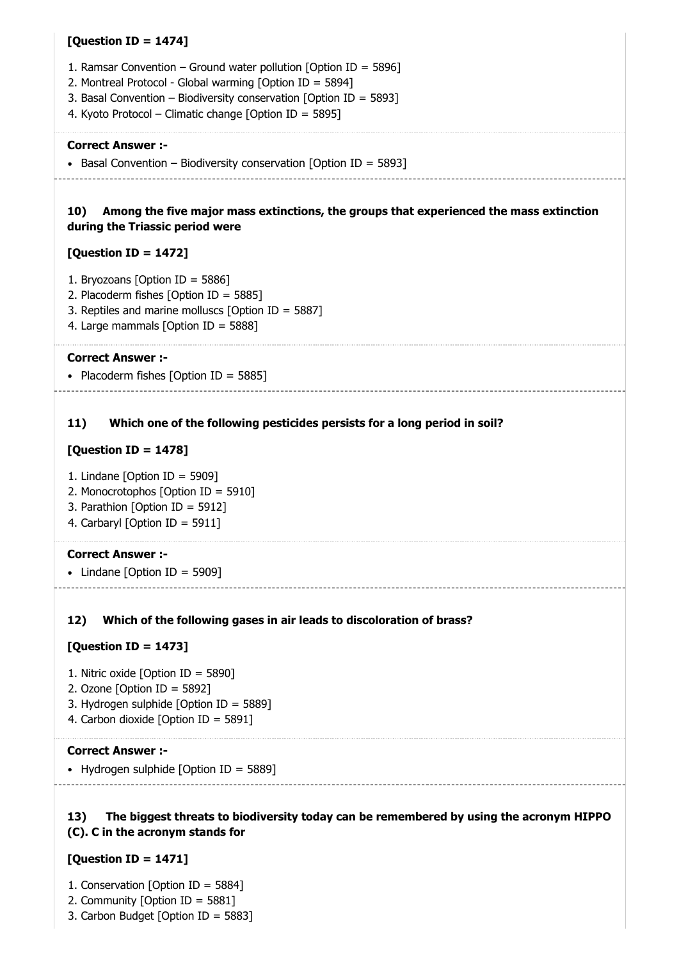### $[Question ID = 1474]$

- 1. Ramsar Convention Ground water pollution [Option ID = 5896]
- 2. Montreal Protocol Global warming [Option ID = 5894]
- 3. Basal Convention Biodiversity conservation [Option ID = 5893]
- 4. Kyoto Protocol Climatic change [Option ID = 5895]

#### Correct Answer :-

• Basal Convention – Biodiversity conservation [Option ID = 5893]

#### 10) Among the five major mass extinctions, the groups that experienced the mass extinction during the Triassic period were

### [Question ID = 1472]

- 1. Bryozoans [Option ID = 5886]
- 2. Placoderm fishes [Option ID = 5885]
- 3. Reptiles and marine molluscs [Option ID = 5887]
- 4. Large mammals [Option ID = 5888]

### Correct Answer :-

• Placoderm fishes [Option ID = 5885]

#### 11) Which one of the following pesticides persists for a long period in soil?

### [Question ID = 1478]

- 1. Lindane [Option ID = 5909]
- 2. Monocrotophos [Option ID = 5910]
- 3. Parathion [Option ID = 5912]
- 4. Carbaryl [Option ID = 5911]

#### Correct Answer :-

• Lindane  $[Option ID = 5909]$ 

#### 12) Which of the following gases in air leads to discoloration of brass?

### [Question ID = 1473]

- 1. Nitric oxide [Option ID = 5890]
- 2. Ozone [Option ID = 5892]
- 3. Hydrogen sulphide [Option ID = 5889]
- 4. Carbon dioxide [Option ID = 5891]

### Correct Answer :-

• Hydrogen sulphide  $[Option ID = 5889]$ 

#### 13) The biggest threats to biodiversity today can be remembered by using the acronym HIPPO (C). C in the acronym stands for

### [Question ID = 1471]

- 1. Conservation [Option ID = 5884]
- 2. Community [Option ID = 5881]
- 3. Carbon Budget [Option ID = 5883]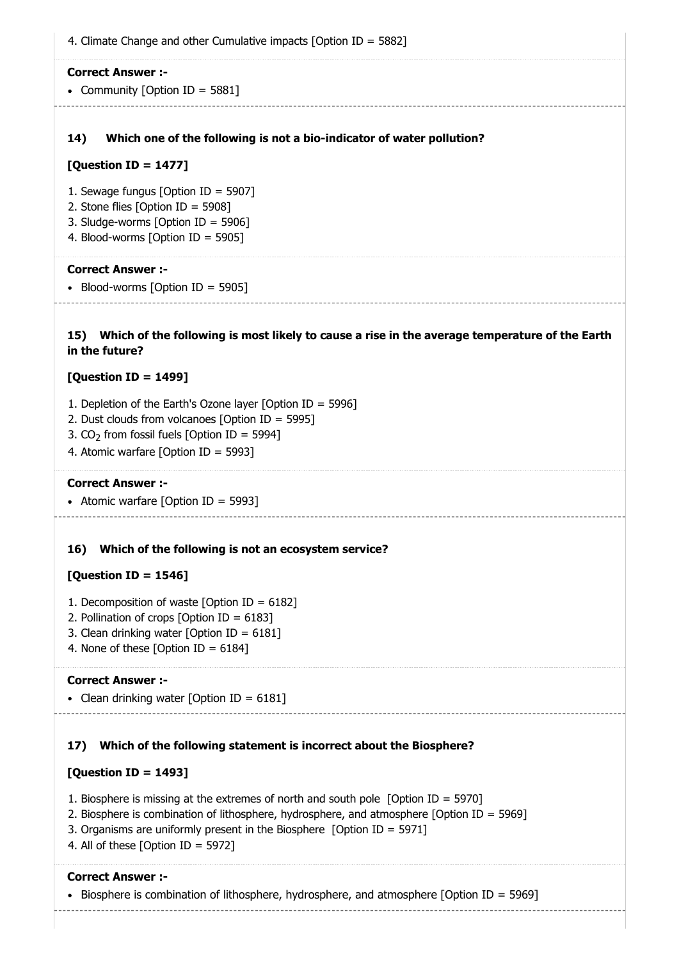| 4. Climate Change and other Cumulative impacts [Option ID = 5882]                                                   |
|---------------------------------------------------------------------------------------------------------------------|
| <b>Correct Answer :-</b>                                                                                            |
| • Community [Option ID = 5881]                                                                                      |
|                                                                                                                     |
| Which one of the following is not a bio-indicator of water pollution?<br>14)                                        |
| [Question ID = 1477]                                                                                                |
| 1. Sewage fungus [Option ID = 5907]                                                                                 |
| 2. Stone flies [Option ID = 5908]                                                                                   |
| 3. Sludge-worms [Option ID = 5906]<br>4. Blood-worms [Option ID = 5905]                                             |
|                                                                                                                     |
| <b>Correct Answer:-</b>                                                                                             |
| • Blood-worms [Option ID = 5905]                                                                                    |
|                                                                                                                     |
| 15) Which of the following is most likely to cause a rise in the average temperature of the Earth<br>in the future? |
| [Question ID = 1499]                                                                                                |
| 1. Depletion of the Earth's Ozone layer [Option ID = 5996]                                                          |
| 2. Dust clouds from volcanoes [Option ID = 5995]                                                                    |
| 3. $CO2$ from fossil fuels [Option ID = 5994]<br>4. Atomic warfare [Option ID = 5993]                               |
|                                                                                                                     |
| <b>Correct Answer:-</b>                                                                                             |
| • Atomic warfare [Option ID = 5993]<br>-----------------------------------                                          |
|                                                                                                                     |
| Which of the following is not an ecosystem service?<br>16)                                                          |
| [Question ID = 1546]                                                                                                |
| 1. Decomposition of waste [Option ID = $6182$ ]                                                                     |
| 2. Pollination of crops [Option ID = $6183$ ]<br>3. Clean drinking water [Option ID = $6181$ ]                      |
| 4. None of these [Option ID = $6184$ ]                                                                              |
| <b>Correct Answer :-</b>                                                                                            |
| • Clean drinking water [Option ID = $6181$ ]                                                                        |
|                                                                                                                     |
| Which of the following statement is incorrect about the Biosphere?<br>17)                                           |
| [Question ID = 1493]                                                                                                |

1. Biosphere is missing at the extremes of north and south pole [Option ID = 5970]

- 2. Biosphere is combination of lithosphere, hydrosphere, and atmosphere [Option ID = 5969]
- 3. Organisms are uniformly present in the Biosphere [Option ID = 5971]
- 4. All of these [Option ID = 5972]

#### Correct Answer :-

Biosphere is combination of lithosphere, hydrosphere, and atmosphere [Option ID = 5969]

------------------------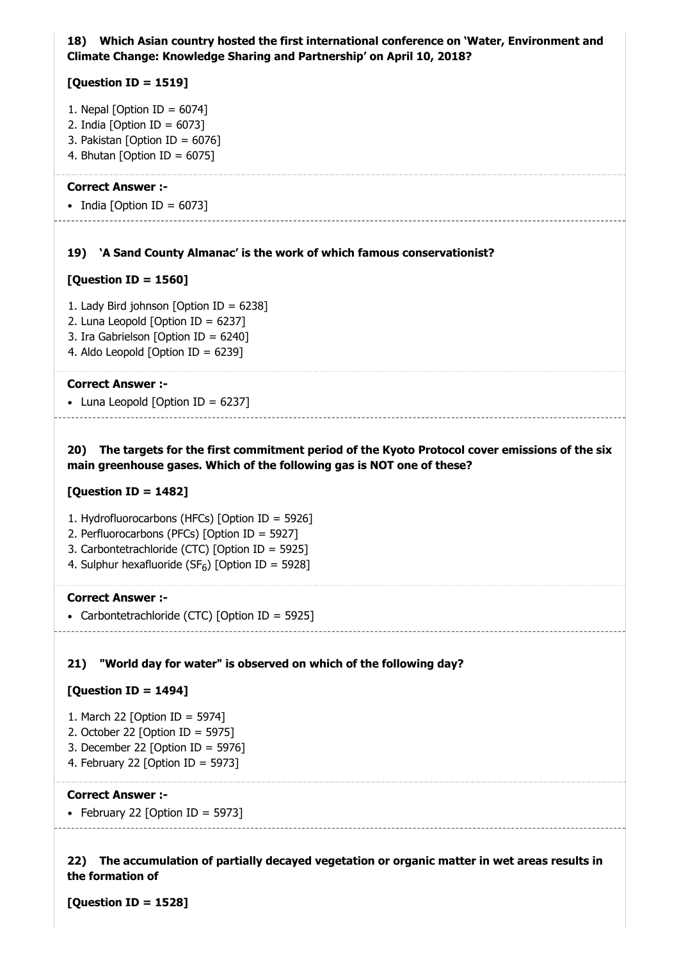### 18) Which Asian country hosted the first international conference on 'Water, Environment and Climate Change: Knowledge Sharing and Partnership' on April 10, 2018?

### [Question ID = 1519]

- 1. Nepal [Option ID =  $6074$ ]
- 2. India [Option ID =  $6073$ ]
- 3. Pakistan [Option ID = 6076]
- 4. Bhutan [Option ID =  $6075$ ]

#### Correct Answer :-

• India [Option ID =  $6073$ ]

#### 19) 'A Sand County Almanac' is the work of which famous conservationist?

#### [Question ID = 1560]

- 1. Lady Bird johnson [Option ID = 6238]
- 2. Luna Leopold [Option ID = 6237]
- 3. Ira Gabrielson [Option ID = 6240]
- 4. Aldo Leopold [Option ID = 6239]

#### Correct Answer :-

• Luna Leopold  $[Option ID = 6237]$ 

### 20) The targets for the first commitment period of the Kyoto Protocol cover emissions of the six main greenhouse gases. Which of the following gas is NOT one of these?

#### [Question ID = 1482]

- 1. Hydrofluorocarbons (HFCs) [Option ID = 5926]
- 2. Perfluorocarbons (PFCs) [Option ID = 5927]
- 3. Carbontetrachloride (CTC) [Option ID = 5925]
- 4. Sulphur hexafluoride (SF $_6$ ) [Option ID = 5928]

#### Correct Answer :-

• Carbontetrachloride (CTC) [Option ID = 5925]

## 21) "World day for water" is observed on which of the following day?

#### $[Question ID = 1494]$

- 1. March 22 [Option ID = 5974]
- 2. October 22 [Option ID = 5975]
- 3. December 22 [Option ID = 5976]
- 4. February 22 [Option ID = 5973]

#### Correct Answer :-

• February 22 [Option ID = 5973]

22) The accumulation of partially decayed vegetation or organic matter in wet areas results in the formation of

[Question ID = 1528]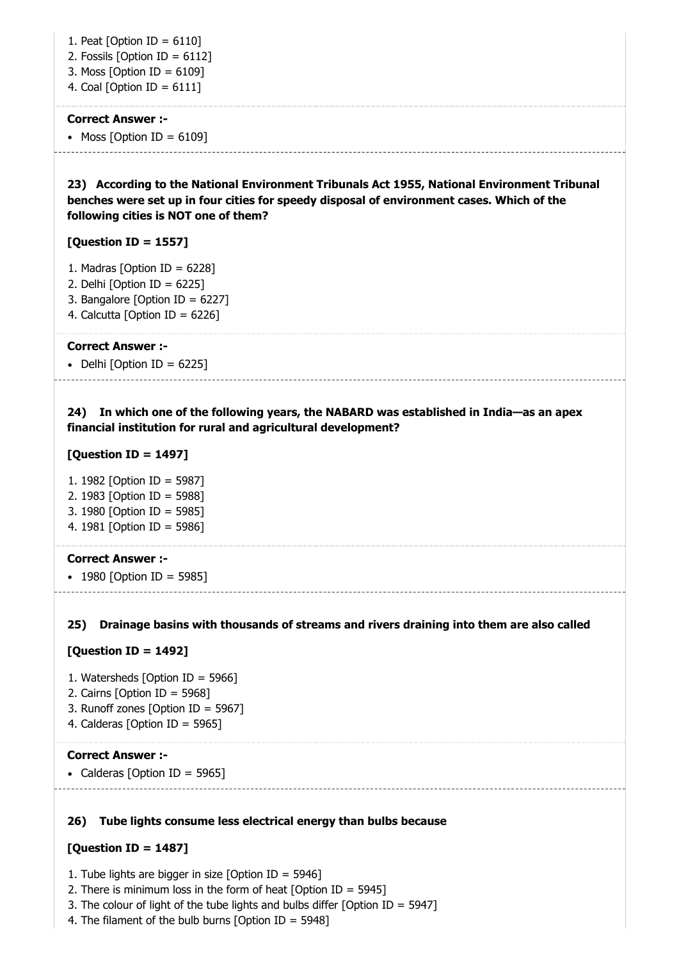1. Peat [Option ID = 6110]

- 2. Fossils [Option ID = 6112]
- 3. Moss [Option ID = 6109]
- 4. Coal [Option ID = 6111]

### Correct Answer :-

### • Moss  $[Option ID = 6109]$

23) According to the National Environment Tribunals Act 1955, National Environment Tribunal benches were set up in four cities for speedy disposal of environment cases. Which of the following cities is NOT one of them?

### [Question ID = 1557]

- 1. Madras [Option ID = 6228]
- 2. Delhi  $[Option ID = 6225]$
- 3. Bangalore [Option ID = 6227]
- 4. Calcutta [Option ID = 6226]

### Correct Answer :-

• Delhi  $[Option ID = 6225]$ 

### 24) In which one of the following years, the NABARD was established in India—as an apex financial institution for rural and agricultural development?

### [Question ID = 1497]

1. 1982 [Option ID = 5987] 2. 1983 [Option ID = 5988] 3. 1980 [Option ID = 5985] 4. 1981 [Option ID = 5986]

### Correct Answer :-

• 1980 [Option ID = 5985]

### 25) Drainage basins with thousands of streams and rivers draining into them are also called

### [Question ID = 1492]

- 1. Watersheds [Option ID = 5966]
- 2. Cairns [Option ID = 5968]
- 3. Runoff zones [Option ID = 5967]
- 4. Calderas [Option ID = 5965]

### Correct Answer :-

• Calderas [Option ID = 5965]

### 26) Tube lights consume less electrical energy than bulbs because

### [Question ID = 1487]

- 1. Tube lights are bigger in size [Option ID = 5946]
- 2. There is minimum loss in the form of heat [Option ID = 5945]
- 3. The colour of light of the tube lights and bulbs differ [Option ID = 5947]
- 4. The filament of the bulb burns [Option ID = 5948]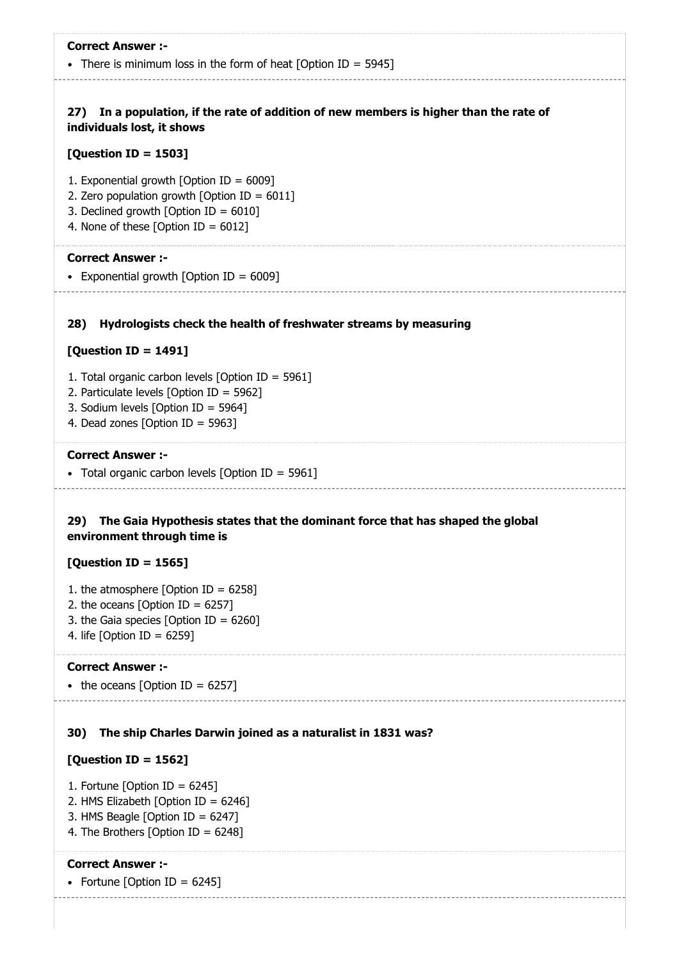| <b>Correct Answer :-</b>                                                                                                                                                             |
|--------------------------------------------------------------------------------------------------------------------------------------------------------------------------------------|
| • There is minimum loss in the form of heat [Option ID = 5945]                                                                                                                       |
| In a population, if the rate of addition of new members is higher than the rate of<br>27)<br>individuals lost, it shows                                                              |
| [Question ID = 1503]                                                                                                                                                                 |
| 1. Exponential growth [Option ID = $6009$ ]<br>2. Zero population growth [Option ID = $6011$ ]<br>3. Declined growth [Option ID = $6010$ ]<br>4. None of these [Option ID = $6012$ ] |
| <b>Correct Answer:-</b><br>• Exponential growth [Option ID = 6009]                                                                                                                   |
| Hydrologists check the health of freshwater streams by measuring<br>28)                                                                                                              |
| [Question ID = 1491]                                                                                                                                                                 |
| 1. Total organic carbon levels [Option ID = 5961]<br>2. Particulate levels [Option ID = 5962]<br>3. Sodium levels [Option ID = 5964]<br>4. Dead zones [Option ID = 5963]             |
| <b>Correct Answer :-</b>                                                                                                                                                             |
| • Total organic carbon levels [Option ID = 5961]                                                                                                                                     |
| The Gaia Hypothesis states that the dominant force that has shaped the global<br>29)<br>environment through time is<br>[Question ID = 1565]                                          |
| 1. the atmosphere [Option ID = $6258$ ]                                                                                                                                              |
| 2. the oceans [Option ID = $6257$ ]                                                                                                                                                  |
| 3. the Gaia species [Option ID = $6260$ ]                                                                                                                                            |
| 4. life [Option ID = $6259$ ]                                                                                                                                                        |
| <b>Correct Answer :-</b>                                                                                                                                                             |
| • the oceans [Option ID = 6257]                                                                                                                                                      |
| The ship Charles Darwin joined as a naturalist in 1831 was?<br>30)                                                                                                                   |
| [Question ID = 1562]                                                                                                                                                                 |
| 1. Fortune [Option ID = $6245$ ]<br>2. HMS Elizabeth [Option ID = 6246]<br>3. HMS Beagle [Option ID = $6247$ ]                                                                       |

-------------------------

4. The Brothers [Option ID = 6248]

### Correct Answer :-

-------------

• Fortune [Option ID =  $6245$ ]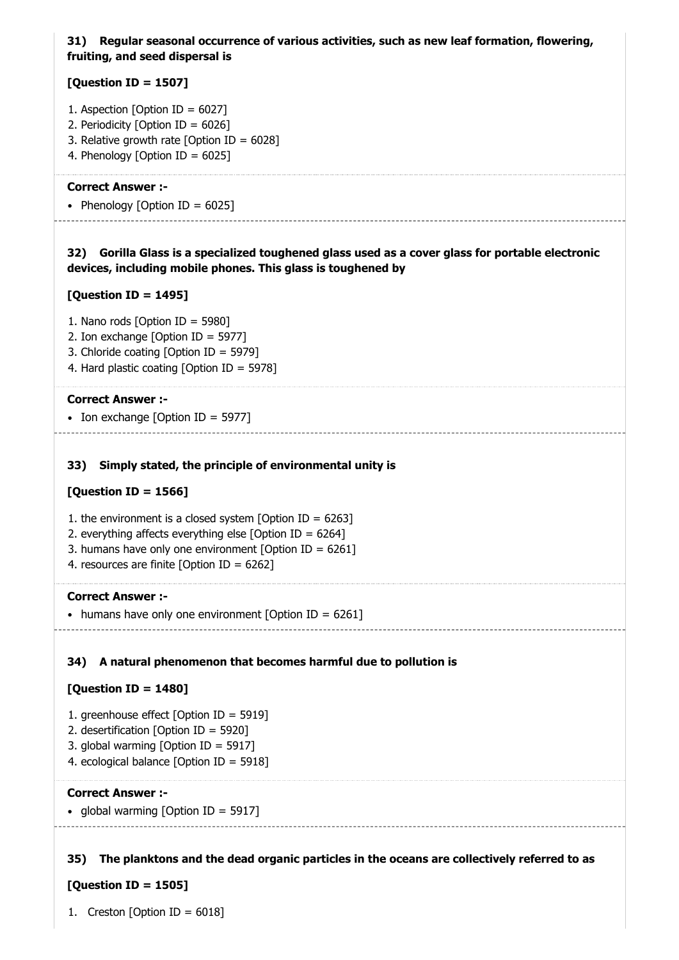### 31) Regular seasonal occurrence of various activities, such as new leaf formation, flowering, fruiting, and seed dispersal is

### [Question ID = 1507]

- 1. Aspection [Option ID =  $6027$ ]
- 2. Periodicity [Option ID = 6026]
- 3. Relative growth rate [Option ID = 6028]
- 4. Phenology [Option ID = 6025]

### Correct Answer :-

• Phenology [Option ID =  $6025$ ]

### 32) Gorilla Glass is a specialized toughened glass used as a cover glass for portable electronic devices, including mobile phones. This glass is toughened by

### [Question ID = 1495]

- 1. Nano rods [Option ID = 5980]
- 2. Ion exchange [Option ID = 5977]
- 3. Chloride coating [Option ID = 5979]
- 4. Hard plastic coating [Option ID = 5978]

#### Correct Answer :-

• Ion exchange  $[Option ID = 5977]$ 

### 33) Simply stated, the principle of environmental unity is

### [Question ID = 1566]

- 1. the environment is a closed system [Option ID =  $6263$ ]
- 2. everything affects everything else  $[Option ID = 6264]$
- 3. humans have only one environment [Option ID = 6261]
- 4. resources are finite [Option ID = 6262]

#### Correct Answer :-

• humans have only one environment [Option ID =  $6261$ ]

### 34) A natural phenomenon that becomes harmful due to pollution is

### [Question ID = 1480]

- 1. greenhouse effect [Option ID = 5919]
- 2. desertification [Option ID = 5920]
- 3. global warming [Option ID = 5917]
- 4. ecological balance [Option ID = 5918]

### Correct Answer :-

• global warming  $[Option ID = 5917]$ 

35) The planktons and the dead organic particles in the oceans are collectively referred to as

### [Question ID = 1505]

1. Creston [Option ID =  $6018$ ]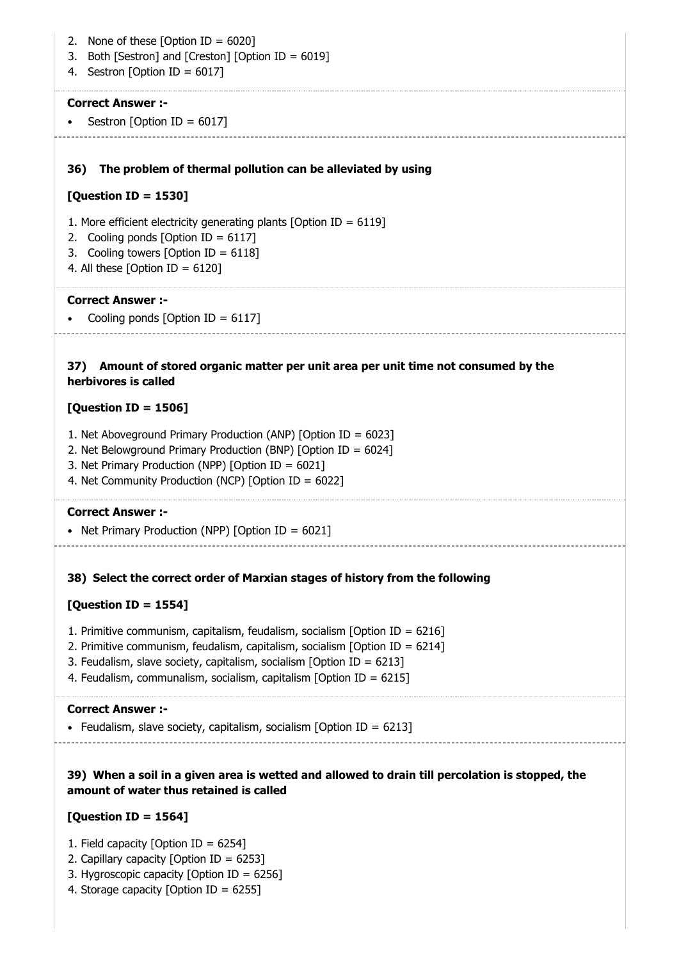36) The problem of thermal pollution can be alleviated by using 37) Amount of stored organic matter per unit area per unit time not consumed by the 2. None of these  $[Option ID = 6020]$ 3. Both [Sestron] and [Creston] [Option ID = 6019] 4. Sestron [Option ID = 6017] Correct Answer :- • Sestron [Option ID =  $6017$ ] [Question ID = 1530] 1. More efficient electricity generating plants [Option ID = 6119] 2. Cooling ponds [Option ID = 6117] 3. Cooling towers [Option ID = 6118] 4. All these  $[Option ID = 6120]$ Correct Answer :- Cooling ponds  $[Option ID = 6117]$ herbivores is called [Question ID = 1506] 1. Net Aboveground Primary Production (ANP) [Option ID = 6023] 2. Net Belowground Primary Production (BNP) [Option ID = 6024] 3. Net Primary Production (NPP) [Option ID = 6021] 4. Net Community Production (NCP) [Option ID = 6022] Correct Answer :- • Net Primary Production (NPP) [Option ID =  $6021$ ]

### 38) Select the correct order of Marxian stages of history from the following

### [Question ID = 1554]

- 1. Primitive communism, capitalism, feudalism, socialism [Option ID = 6216]
- 2. Primitive communism, feudalism, capitalism, socialism [Option ID = 6214]
- 3. Feudalism, slave society, capitalism, socialism [Option ID = 6213]
- 4. Feudalism, communalism, socialism, capitalism [Option ID = 6215]

### Correct Answer :-

• Feudalism, slave society, capitalism, socialism [Option ID =  $6213$ ]

### 39) When a soil in a given area is wetted and allowed to drain till percolation is stopped, the amount of water thus retained is called

## $[Question ID = 1564]$

- 1. Field capacity [Option ID = 6254]
- 2. Capillary capacity [Option ID = 6253]
- 3. Hygroscopic capacity [Option ID = 6256]
- 4. Storage capacity [Option ID =  $6255$ ]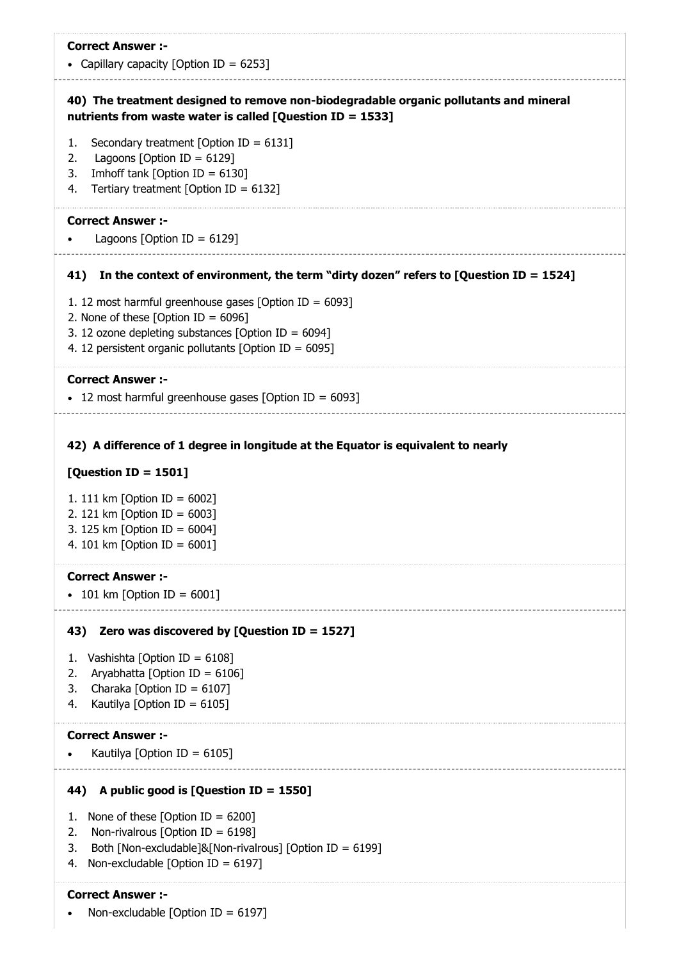• Capillary capacity [Option ID =  $6253$ ]

### 40) The treatment designed to remove non-biodegradable organic pollutants and mineral nutrients from waste water is called [Question ID = 1533]

- 1. Secondary treatment [Option ID = 6131]
- 2. Lagoons [Option ID =  $6129$ ]
- 3. Imhoff tank [Option ID = 6130]
- 4. Tertiary treatment [Option ID = 6132]

#### Correct Answer :-

Lagoons [Option ID =  $6129$ ]

#### 41) In the context of environment, the term "dirty dozen" refers to [Question ID = 1524]

- 1. 12 most harmful greenhouse gases [Option ID =  $6093$ ]
- 2. None of these  $[Option ID = 6096]$
- 3. 12 ozone depleting substances [Option ID =  $6094$ ]
- 4. 12 persistent organic pollutants [Option ID = 6095]

#### Correct Answer :-

 $\cdot$  12 most harmful greenhouse gases [Option ID = 6093]

#### 42) A difference of 1 degree in longitude at the Equator is equivalent to nearly

### $[Question ID = 1501]$

- 1. 111 km [Option ID = 6002]
- 2. 121 km [Option ID = 6003]
- 3. 125 km [Option ID = 6004]
- 4. 101 km [Option ID = 6001]

#### Correct Answer :-

 $\cdot$  101 km [Option ID = 6001]

### 43) Zero was discovered by [Question ID = 1527]

- 1. Vashishta [Option ID = 6108]
- 2. Aryabhatta [Option ID =  $6106$ ]
- 3. Charaka [Option ID =  $6107$ ]
- 4. Kautilya [Option ID = 6105]

#### Correct Answer :-

Kautilya [Option ID =  $6105$ ]

# 44) A public good is [Question ID = 1550]

- 1. None of these  $[Option ID = 6200]$
- 2. Non-rivalrous [Option ID =  $6198$ ]
- 3. Both [Non-excludable]&[Non-rivalrous] [Option ID = 6199]
- 4. Non-excludable [Option ID = 6197]

### Correct Answer :-

Non-excludable [Option ID = 6197]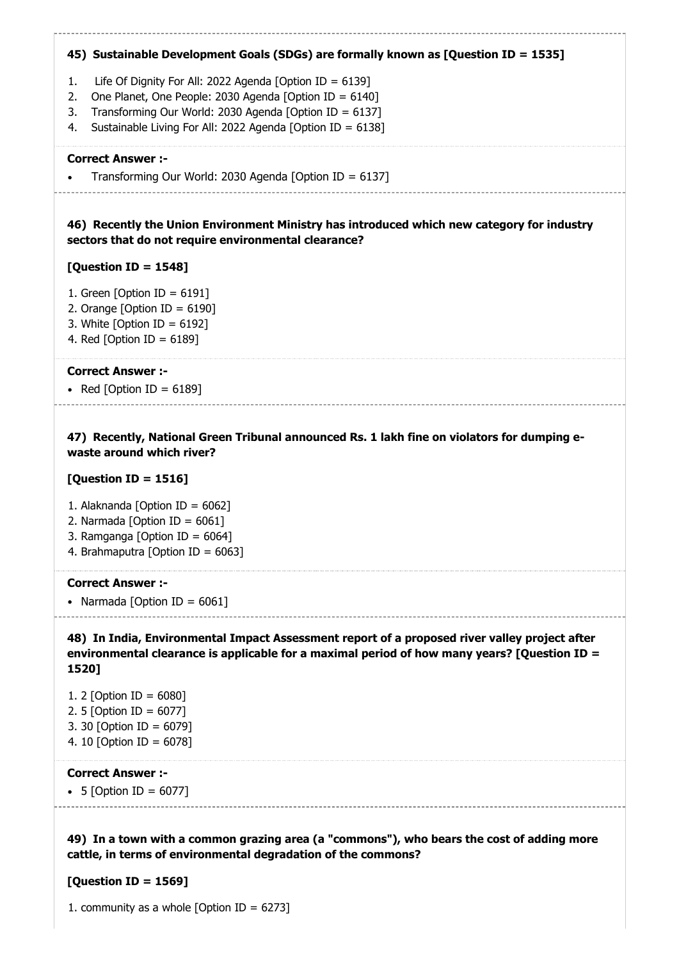### 45) Sustainable Development Goals (SDGs) are formally known as [Question ID = 1535]

- 1. Life Of Dignity For All: 2022 Agenda [Option ID = 6139]
- 2. One Planet, One People: 2030 Agenda [Option ID = 6140]
- 3. Transforming Our World: 2030 Agenda [Option ID = 6137]
- 4. Sustainable Living For All: 2022 Agenda [Option ID = 6138]

#### Correct Answer :-

Transforming Our World: 2030 Agenda [Option ID = 6137]

46) Recently the Union Environment Ministry has introduced which new category for industry sectors that do not require environmental clearance?

### [Question ID = 1548]

- 1. Green [Option ID =  $6191$ ]
- 2. Orange  $[Option ID = 6190]$
- 3. White [Option ID = 6192]
- 4. Red [Option ID = 6189]

#### Correct Answer :-

• Red [Option ID =  $6189$ ]

47) Recently, National Green Tribunal announced Rs. 1 lakh fine on violators for dumping ewaste around which river?

#### [Question ID = 1516]

- 1. Alaknanda [Option ID = 6062]
- 2. Narmada  $[Option ID = 6061]$
- 3. Ramganga [Option ID = 6064]
- 4. Brahmaputra [Option ID = 6063]

#### Correct Answer :-

• Narmada  $[Option ID = 6061]$ 

48) In India, Environmental Impact Assessment report of a proposed river valley project after environmental clearance is applicable for a maximal period of how many years? [Question ID = 1520]

1. 2 [Option ID = 6080] 2. 5 [Option ID = 6077] 3. 30 [Option ID = 6079] 4. 10 [Option ID = 6078]

#### Correct Answer :-

•  $5$  [Option ID = 6077]

49) In a town with a common grazing area (a "commons"), who bears the cost of adding more cattle, in terms of environmental degradation of the commons?

### [Question ID = 1569]

1. community as a whole [Option ID =  $6273$ ]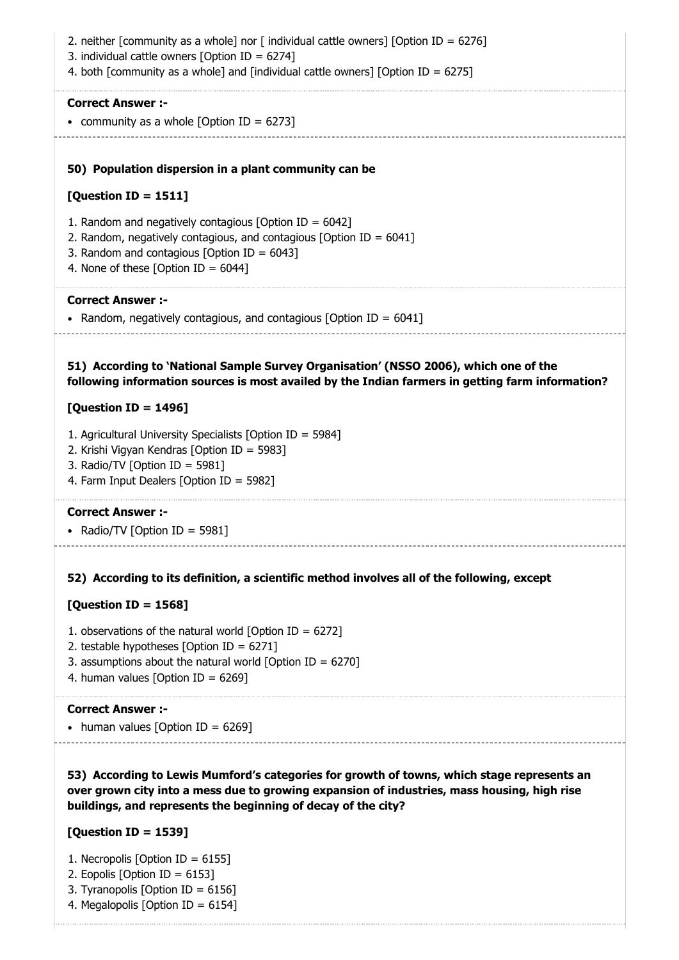50) Population dispersion in a plant community can be 51) According to 'National Sample Survey Organisation' (NSSO 2006), which one of the 52) According to its definition, a scientific method involves all of the following, except 53) According to Lewis Mumford's categories for growth of towns, which stage represents an 2. neither [community as a whole] nor [ individual cattle owners] [Option ID = 6276] 3. individual cattle owners [Option ID = 6274] 4. both [community as a whole] and [individual cattle owners] [Option ID = 6275] Correct Answer :- • community as a whole  $[Option ID = 6273]$  $[Question ID = 1511]$ 1. Random and negatively contagious [Option ID =  $6042$ ] 2. Random, negatively contagious, and contagious [Option ID =  $6041$ ] 3. Random and contagious [Option ID =  $6043$ ] 4. None of these  $[Option ID = 6044]$ Correct Answer :- • Random, negatively contagious, and contagious [Option ID =  $6041$ ] following information sources is most availed by the Indian farmers in getting farm information? [Question ID = 1496] 1. Agricultural University Specialists [Option ID = 5984] 2. Krishi Vigyan Kendras [Option ID = 5983] 3. Radio/TV [Option ID = 5981] 4. Farm Input Dealers [Option ID = 5982] Correct Answer :- • Radio/TV [Option ID = 5981] [Question ID = 1568] 1. observations of the natural world [Option ID =  $6272$ ] 2. testable hypotheses [Option ID =  $6271$ ] 3. assumptions about the natural world [Option ID =  $6270$ ] 4. human values [Option ID =  $6269$ ] Correct Answer :- • human values [Option ID =  $6269$ ] over grown city into a mess due to growing expansion of industries, mass housing, high rise buildings, and represents the beginning of decay of the city? [Question ID = 1539] 1. Necropolis [Option ID = 6155] 2. Eopolis [Option ID = 6153] 3. Tyranopolis [Option ID = 6156]

4. Megalopolis [Option ID = 6154]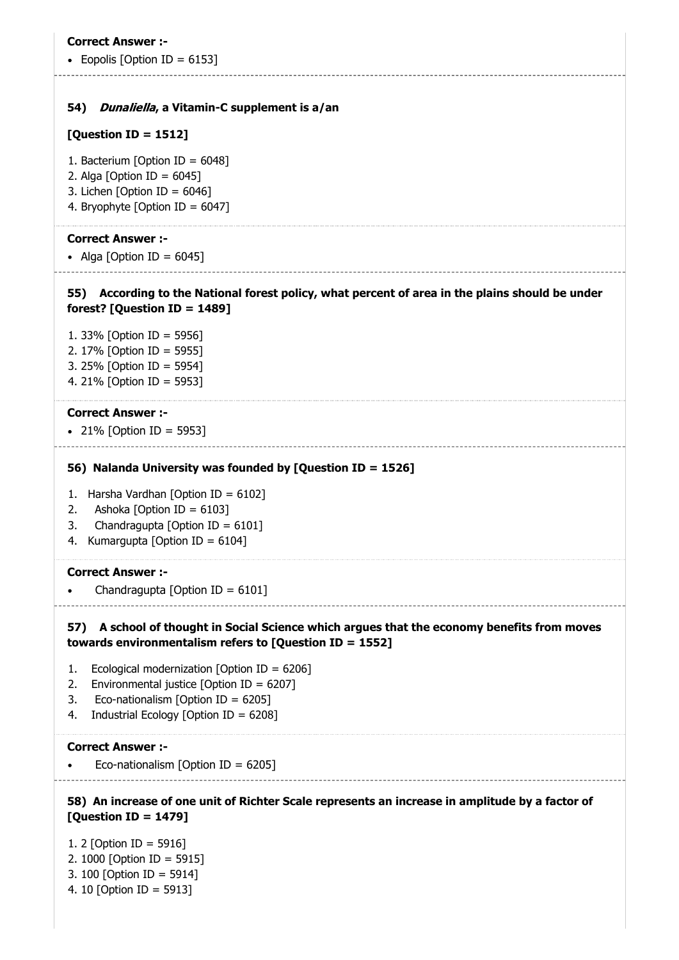• Eopolis [Option ID =  $6153$ ]

#### 54) Dunaliella, a Vitamin-C supplement is a/an

#### [Question ID = 1512]

- 1. Bacterium [Option ID = 6048]
- 2. Alga [Option ID =  $6045$ ]
- 3. Lichen [Option ID = 6046]
- 4. Bryophyte [Option ID = 6047]

#### Correct Answer :-

- Alga [Option ID =  $6045$ ]
- 55) According to the National forest policy, what percent of area in the plains should be under
- forest? [Question ID = 1489]
- 1. 33% [Option ID = 5956] 2. 17% [Option ID = 5955] 3. 25% [Option ID = 5954] 4. 21% [Option ID = 5953]

#### Correct Answer :-

21% [Option ID = 5953]

#### 56) Nalanda University was founded by [Question ID = 1526]

- 1. Harsha Vardhan [Option ID =  $6102$ ]
- 2. Ashoka [Option ID = 6103]
- 3. Chandragupta [Option ID =  $6101$ ]
- 4. Kumargupta [Option ID = 6104]

#### Correct Answer :-

Chandragupta [Option ID = 6101]

### 57) A school of thought in Social Science which argues that the economy benefits from moves towards environmentalism refers to [Question ID = 1552]

- 1. Ecological modernization [Option ID = 6206]
- 2. Environmental justice  $\delta$  Dotion ID = 62071
- 3. Eco-nationalism [Option ID = 6205]
- 4. Industrial Ecology [Option ID = 6208]

#### Correct Answer :-

Eco-nationalism [Option ID = 6205]

### 58) An increase of one unit of Richter Scale represents an increase in amplitude by a factor of [Question ID = 1479]

- 1. 2 [Option ID = 5916] 2. 1000 [Option ID = 5915] 3. 100 [Option ID = 5914]
- 4. 10 [Option ID = 5913]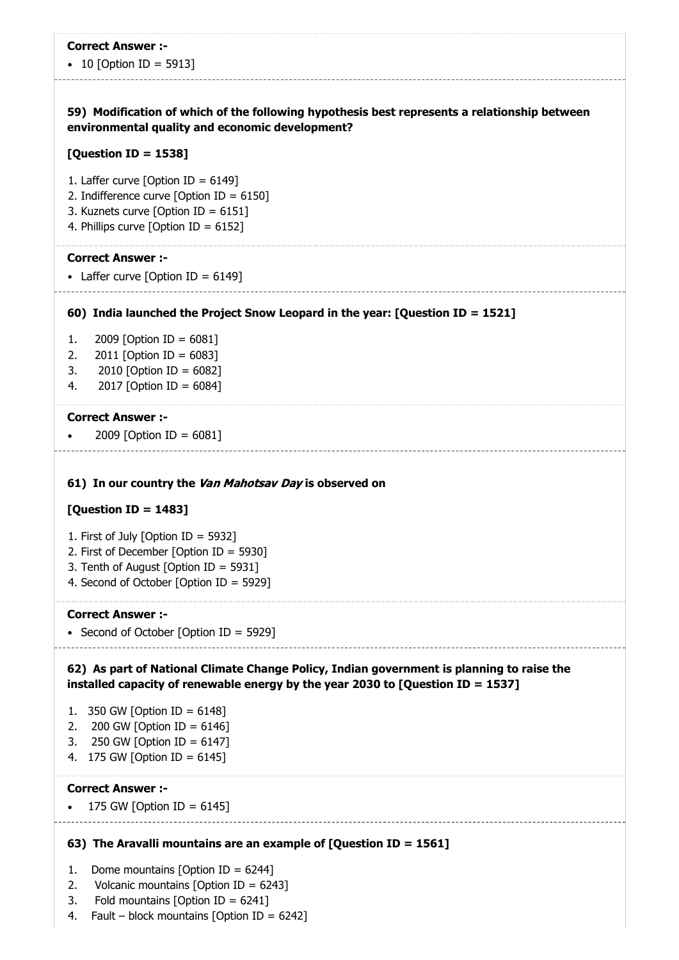• 10 [Option ID = 5913]

### 59) Modification of which of the following hypothesis best represents a relationship between environmental quality and economic development?

#### [Question ID = 1538]

- 1. Laffer curve [Option ID =  $6149$ ]
- 2. Indifference curve [Option ID = 6150]
- 3. Kuznets curve [Option ID = 6151]
- 4. Phillips curve [Option ID = 6152]

#### Correct Answer :-

• Laffer curve  $[Option ID = 6149]$ 

#### 60) India launched the Project Snow Leopard in the year: [Question ID = 1521]

- 1. 2009 [Option ID = 6081]
- 2. 2011 [Option ID =  $6083$ ]
- 3. 2010 [Option ID = 6082]
- 4. 2017 [Option ID = 6084]

#### Correct Answer :-

2009 [Option ID = 6081]

#### 61) In our country the Van Mahotsav Day is observed on

#### [Question ID = 1483]

- 1. First of July [Option ID = 5932]
- 2. First of December [Option ID = 5930]
- 3. Tenth of August [Option ID = 5931]
- 4. Second of October [Option ID = 5929]

#### Correct Answer :-

• Second of October [Option ID = 5929]

### 62) As part of National Climate Change Policy, Indian government is planning to raise the installed capacity of renewable energy by the year 2030 to [Question ID = 1537]

- 1. 350 GW [Option ID = 6148]
- 2. 200 GW [Option ID = 6146]
- 3. 250 GW [Option ID = 6147]
- 4. 175 GW [Option ID = 6145]

#### Correct Answer :-

175 GW  $[$ Option  $ID = 6145]$ 

#### 63) The Aravalli mountains are an example of [Question ID = 1561]

- 1. Dome mountains [Option ID =  $6244$ ]
- 2. Volcanic mountains [Option ID = 6243]
- 3. Fold mountains [Option ID = 6241]
- 4. Fault block mountains [Option ID =  $6242$ ]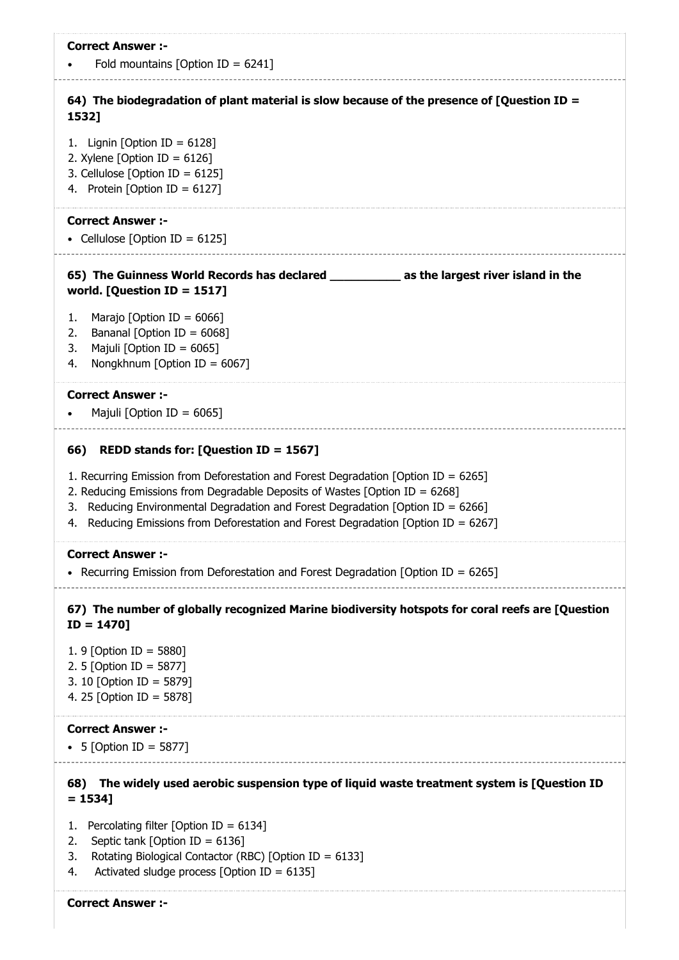| <b>Correct Answer:-</b><br>Fold mountains [Option ID = $6241$ ]                                                                                                             |
|-----------------------------------------------------------------------------------------------------------------------------------------------------------------------------|
| 64) The biodegradation of plant material is slow because of the presence of [Question ID =<br>1532]                                                                         |
| 1. Lignin [Option ID = $6128$ ]<br>2. Xylene [Option ID = $6126$ ]<br>3. Cellulose [Option ID = $6125$ ]                                                                    |
| 4. Protein [Option ID = $6127$ ]                                                                                                                                            |
| <b>Correct Answer :-</b><br>• Cellulose [Option ID = $6125$ ]                                                                                                               |
| 65) The Guinness World Records has declared _____________ as the largest river island in the<br>world. [Question ID = 1517]                                                 |
| Marajo [Option ID = $6066$ ]<br>1.                                                                                                                                          |
| Bananal [Option ID = 6068]<br>2.<br>Majuli [Option ID = $6065$ ]<br>3.                                                                                                      |
| Nongkhnum [Option ID = $6067$ ]<br>4.                                                                                                                                       |
| <b>Correct Answer :-</b>                                                                                                                                                    |
| Majuli [Option ID = $6065$ ]                                                                                                                                                |
| REDD stands for: [Question ID = 1567]<br>66)                                                                                                                                |
| 1. Recurring Emission from Deforestation and Forest Degradation [Option ID = $6265$ ]                                                                                       |
| 2. Reducing Emissions from Degradable Deposits of Wastes [Option ID = $6268$ ]                                                                                              |
| Reducing Environmental Degradation and Forest Degradation [Option ID = 6266]<br>3.<br>Reducing Emissions from Deforestation and Forest Degradation [Option ID = 6267]<br>4. |
| <b>Correct Answer :-</b>                                                                                                                                                    |
| Recurring Emission from Deforestation and Forest Degradation [Option ID = 6265]                                                                                             |
| 67) The number of globally recognized Marine biodiversity hotspots for coral reefs are [Question<br>$ID = 1470$                                                             |
| 1. 9 [Option ID = 5880]                                                                                                                                                     |
| 2. 5 [Option ID = 5877]                                                                                                                                                     |
| 3. 10 [Option ID = 5879]<br>4. 25 [Option ID = 5878]                                                                                                                        |
| <b>Correct Answer :-</b>                                                                                                                                                    |
| • 5 [Option ID = 5877]                                                                                                                                                      |
| 68) The widely used aerobic suspension type of liquid waste treatment system is [Question ID<br>$= 1534$ ]                                                                  |
| Percolating filter [Option ID = $6134$ ]<br>1.                                                                                                                              |
| Septic tank [Option ID = $6136$ ]<br>2.<br>Rotating Biological Contactor (RBC) [Option ID = 6133]<br>3.                                                                     |
| Activated sludge process [Option ID = $6135$ ]<br>4.                                                                                                                        |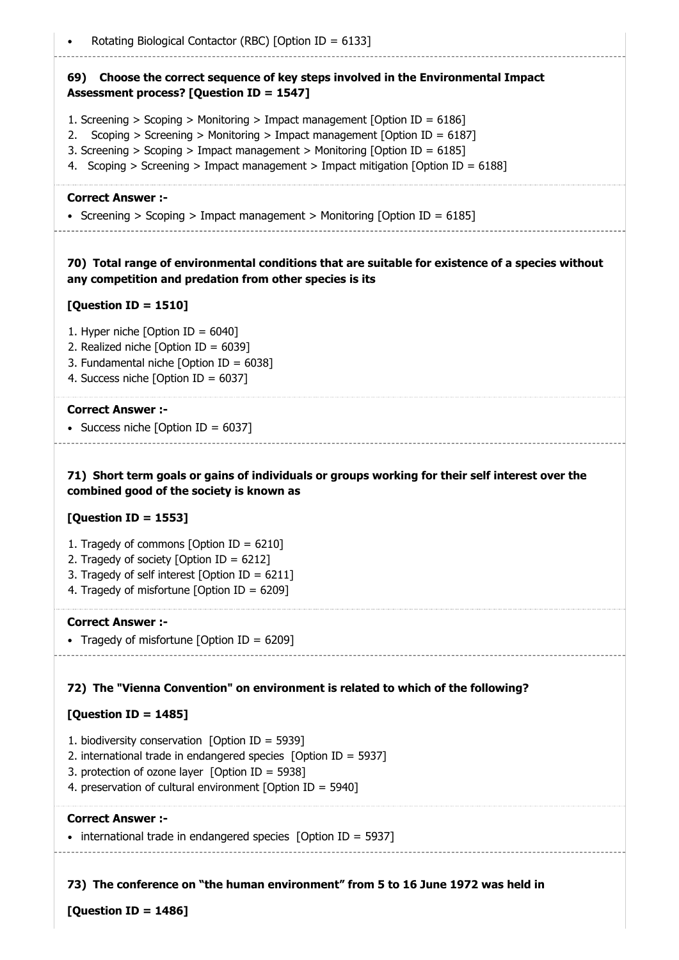### 69) Choose the correct sequence of key steps involved in the Environmental Impact Assessment process? [Question ID = 1547]

- 1. Screening > Scoping > Monitoring > Impact management [Option ID = 6186]
- 2. Scoping > Screening > Monitoring > Impact management [Option ID = 6187]
- 3. Screening > Scoping > Impact management > Monitoring [Option ID = 6185]
- 4. Scoping > Screening > Impact management > Impact mitigation [Option ID = 6188]

#### Correct Answer :-

Screening > Scoping > Impact management > Monitoring [Option ID =  $6185$ ]

### 70) Total range of environmental conditions that are suitable for existence of a species without any competition and predation from other species is its

### [Question ID = 1510]

- 1. Hyper niche  $[Option ID = 6040]$
- 2. Realized niche [Option ID = 6039]
- 3. Fundamental niche [Option ID = 6038]
- 4. Success niche [Option ID = 6037]

### Correct Answer :-

• Success niche  $[Option ID = 6037]$ 

### 71) Short term goals or gains of individuals or groups working for their self interest over the combined good of the society is known as

### [Question ID = 1553]

- 1. Tragedy of commons [Option ID =  $6210$ ]
- 2. Tragedy of society [Option ID = 6212]
- 3. Tragedy of self interest [Option ID =  $6211$ ]
- 4. Tragedy of misfortune [Option ID = 6209]

#### Correct Answer :-

• Tragedy of misfortune [Option ID = 6209]

### 72) The "Vienna Convention" on environment is related to which of the following?

### [Question ID = 1485]

- 1. biodiversity conservation  $[Option ID = 5939]$
- 2. international trade in endangered species [Option ID = 5937]
- 3. protection of ozone layer [Option ID = 5938]
- 4. preservation of cultural environment [Option ID = 5940]

### Correct Answer :-

 $\bullet$  international trade in endangered species [Option ID = 5937]

73) The conference on "the human environment" from 5 to 16 June 1972 was held in

 $[Question ID = 1486]$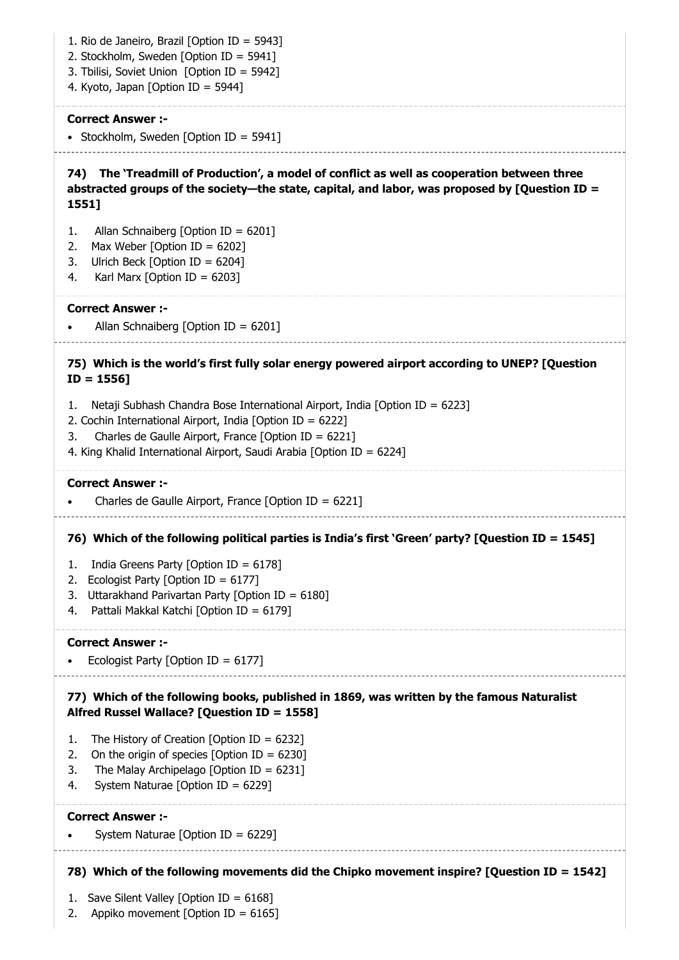74) The 'Treadmill of Production', a model of conflict as well as cooperation between three 75) Which is the world's first fully solar energy powered airport according to UNEP? [Question 76) Which of the following political parties is India's first 'Green' party? [Question ID = 1545] 77) Which of the following books, published in 1869, was written by the famous Naturalist 78) Which of the following movements did the Chipko movement inspire? [Question ID = 1542] 1. Rio de Janeiro, Brazil [Option ID = 5943] 2. Stockholm, Sweden [Option ID = 5941] 3. Tbilisi, Soviet Union [Option ID = 5942] 4. Kyoto, Japan [Option ID = 5944] Correct Answer :- • Stockholm, Sweden [Option ID = 5941] abstracted groups of the society—the state, capital, and labor, was proposed by [Question ID = 1551] 1. Allan Schnaiberg [Option ID = 6201] 2. Max Weber [Option ID =  $6202$ ] 3. Ulrich Beck [Option ID = 6204] 4. Karl Marx [Option ID =  $6203$ ] Correct Answer :- Allan Schnaiberg [Option ID =  $6201$ ]  $ID = 1556$ 1. Netaji Subhash Chandra Bose International Airport, India [Option ID = 6223] 2. Cochin International Airport, India [Option ID = 6222] 3. Charles de Gaulle Airport, France [Option ID = 6221] 4. King Khalid International Airport, Saudi Arabia [Option ID = 6224] Correct Answer :- Charles de Gaulle Airport, France [Option ID =  $6221$ ] 1. India Greens Party [Option ID = 6178] 2. Ecologist Party [Option ID = 6177] 3. Uttarakhand Parivartan Party [Option ID = 6180] 4. Pattali Makkal Katchi [Option ID = 6179] Correct Answer :- Ecologist Party [Option ID = 6177] Alfred Russel Wallace? [Question ID = 1558] 1. The History of Creation [Option ID = 6232] 2. On the origin of species  $[Option ID = 6230]$ 3. The Malay Archipelago [Option ID =  $6231$ ] 4. System Naturae [Option ID = 6229] Correct Answer :- System Naturae [Option ID = 6229] 1. Save Silent Valley [Option ID = 6168]

2. Appiko movement [Option ID = 6165]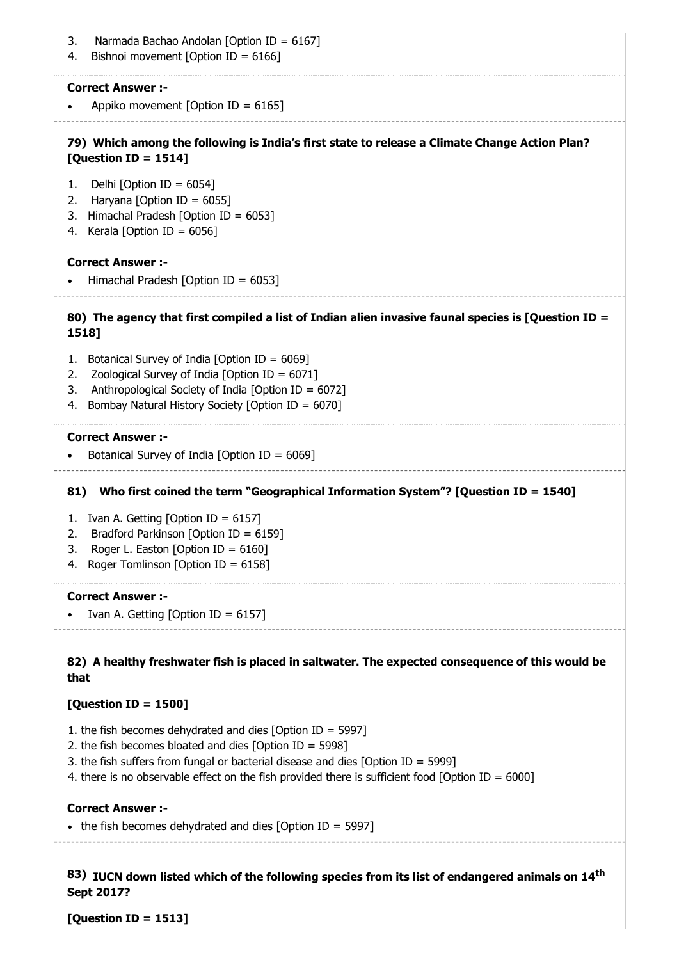| Narmada Bachao Andolan [Option ID = 6167]<br>3.<br>Bishnoi movement [Option ID = $6166$ ]<br>4.                       |
|-----------------------------------------------------------------------------------------------------------------------|
| <b>Correct Answer:-</b>                                                                                               |
| Appiko movement [Option ID = $6165$ ]                                                                                 |
| 79) Which among the following is India's first state to release a Climate Change Action Plan?<br>[Question ID = 1514] |
| Delhi [Option ID = $6054$ ]<br>1.                                                                                     |
| 2.<br>Haryana [Option ID = $6055$ ]                                                                                   |
| Himachal Pradesh [Option ID = $6053$ ]<br>3.                                                                          |
| Kerala [Option ID = $6056$ ]<br>4.                                                                                    |
| <b>Correct Answer :-</b>                                                                                              |
| Himachal Pradesh [Option ID = $6053$ ]                                                                                |
| 80) The agency that first compiled a list of Indian alien invasive faunal species is [Question ID =<br>1518]          |
| Botanical Survey of India [Option ID = 6069]<br>1.                                                                    |
| Zoological Survey of India [Option ID = $6071$ ]<br>2.                                                                |
| Anthropological Society of India [Option ID = 6072]<br>3.                                                             |
| Bombay Natural History Society [Option ID = 6070]<br>4.                                                               |
| <b>Correct Answer :-</b>                                                                                              |
| Botanical Survey of India [Option ID = $6069$ ]                                                                       |
| Who first coined the term "Geographical Information System"? [Question ID = 1540]<br>81)                              |
| Ivan A. Getting [Option ID = 6157]<br>1.                                                                              |
| Bradford Parkinson [Option ID = 6159]<br>2.                                                                           |
| 3.<br>Roger L. Easton [Option ID = $6160$ ]                                                                           |
| Roger Tomlinson [Option ID = $6158$ ]<br>4.                                                                           |
| <b>Correct Answer:-</b>                                                                                               |
| Ivan A. Getting [Option ID = $6157$ ]                                                                                 |
| 82) A healthy freshwater fish is placed in saltwater. The expected consequence of this would be<br>that               |
| [Question ID = 1500]                                                                                                  |
|                                                                                                                       |
| 1. the fish becomes dehydrated and dies [Option ID = 5997]<br>2. the fish becomes bloated and dies [Option ID = 5998] |
| 3. the fish suffers from fungal or bacterial disease and dies [Option ID = 5999]                                      |
| 4. there is no observable effect on the fish provided there is sufficient food [Option ID = 6000]                     |
| <b>Correct Answer:-</b>                                                                                               |
| • the fish becomes dehydrated and dies [Option ID = 5997]                                                             |
|                                                                                                                       |
|                                                                                                                       |

83) IUCN down listed which of the following species from its list of endangered animals on 14<sup>th</sup> Sept 2017?

[Question ID = 1513]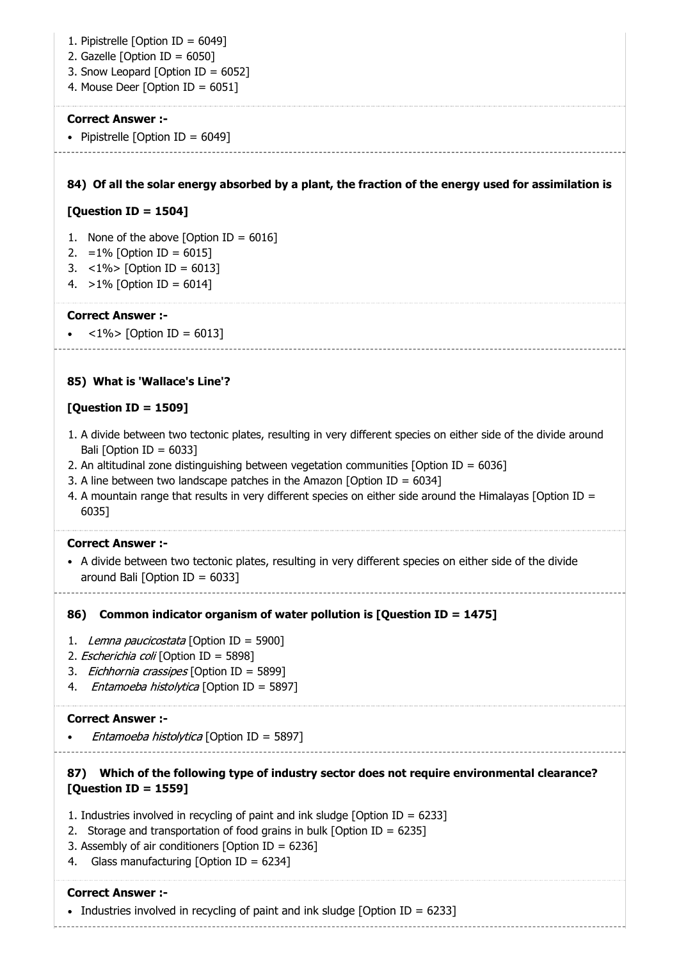- 1. Pipistrelle [Option ID = 6049]
- 2. Gazelle [Option ID =  $6050$ ]
- 3. Snow Leopard [Option ID = 6052]
- 4. Mouse Deer [Option ID = 6051]

• Pipistrelle  $[Option ID = 6049]$ 

### 84) Of all the solar energy absorbed by a plant, the fraction of the energy used for assimilation is

### [Question ID = 1504]

- 1. None of the above [Option ID =  $6016$ ]
- 2. =  $1\%$  [Option ID = 6015]
- 3. <1%> [Option ID = 6013]
- 4.  $>1\%$  [Option ID = 6014]

### Correct Answer :-

 $<$ 1%> [Option ID = 6013]

### 85) What is 'Wallace's Line'?

### [Question ID = 1509]

- 1. A divide between two tectonic plates, resulting in very different species on either side of the divide around Bali  $[Option ID = 6033]$
- 2. An altitudinal zone distinguishing between vegetation communities [Option ID = 6036]
- 3. A line between two landscape patches in the Amazon [Option ID =  $6034$ ]
- 4. A mountain range that results in very different species on either side around the Himalayas [Option ID = 6035]

### Correct Answer :-

- A divide between two tectonic plates, resulting in very different species on either side of the divide around Bali  $[Option ID = 6033]$ 
	-

#### 86) Common indicator organism of water pollution is [Question ID = 1475]

- 1. Lemna paucicostata [Option ID = 5900]
- 2. Escherichia coli [Option ID = 5898]
- 3. Eichhornia crassipes [Option ID = 5899]
- 4. *Entamoeba histolytica* [Option ID = 5897]

### Correct Answer :-

Entamoeba histolytica [Option ID = 5897]

### 87) Which of the following type of industry sector does not require environmental clearance? [Question ID = 1559]

- 1. Industries involved in recycling of paint and ink sludge [Option ID = 6233]
- 2. Storage and transportation of food grains in bulk  $\delta$  IO at  $D = 6235$
- 3. Assembly of air conditioners [Option ID = 6236]
- 4. Glass manufacturing [Option ID = 6234]

## Correct Answer :-

Industries involved in recycling of paint and ink sludge [Option ID = 6233]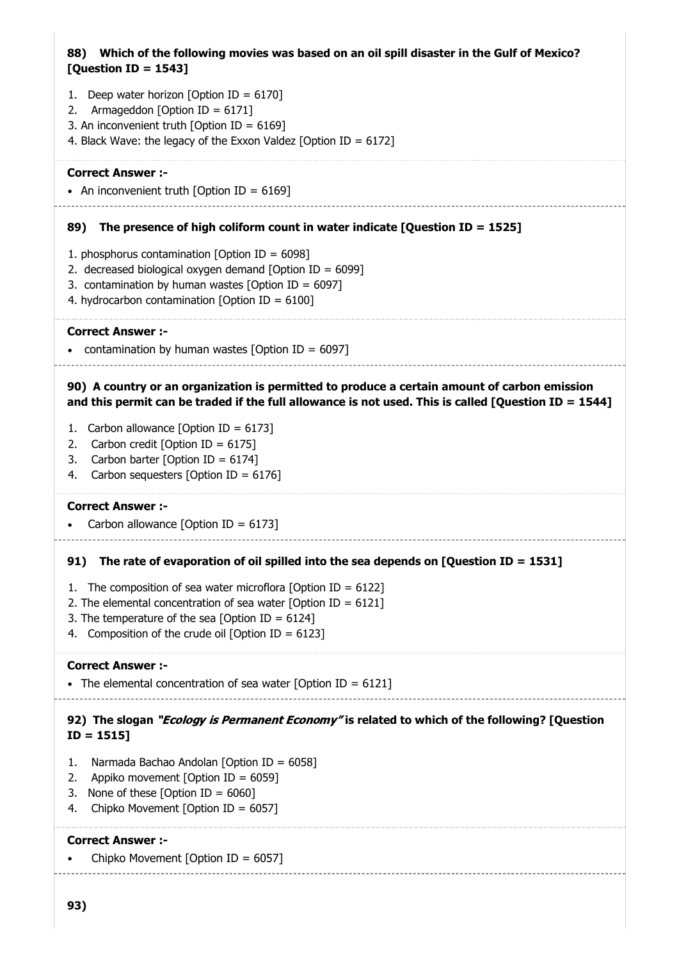### 88) Which of the following movies was based on an oil spill disaster in the Gulf of Mexico? [Question ID = 1543]

- 1. Deep water horizon [Option ID =  $6170$ ]
- 2. Armageddon [Option ID = 6171]
- 3. An inconvenient truth [Option ID = 6169]
- 4. Black Wave: the legacy of the Exxon Valdez [Option ID = 6172]

#### Correct Answer :-

• An inconvenient truth  $[Option ID = 6169]$ 

#### 89) The presence of high coliform count in water indicate [Question ID = 1525]

- 1. phosphorus contamination [Option ID =  $6098$ ]
- 2. decreased biological oxygen demand  $[Option ID = 6099]$
- 3. contamination by human wastes [Option ID =  $6097$ ]
- 4. hydrocarbon contamination [Option ID =  $6100$ ]

### Correct Answer :-

• contamination by human wastes  $[Option ID = 6097]$ 

### 90) A country or an organization is permitted to produce a certain amount of carbon emission and this permit can be traded if the full allowance is not used. This is called [Question ID = 1544]

- 1. Carbon allowance [Option ID = 6173]
- 2. Carbon credit [Option ID = 6175]
- 3. Carbon barter [Option ID = 6174]
- 4. Carbon sequesters [Option ID = 6176]

#### Correct Answer :-

Carbon allowance  $[Option ID = 6173]$ 

### 91) The rate of evaporation of oil spilled into the sea depends on [Question ID = 1531]

- 1. The composition of sea water microflora [Option ID =  $6122$ ]
- 2. The elemental concentration of sea water [Option ID =  $6121$ ]
- 3. The temperature of the sea [Option ID =  $6124$ ]
- 4. Composition of the crude oil  $[Option ID = 6123]$

#### Correct Answer :-

• The elemental concentration of sea water [Option ID =  $6121$ ]

### 92) The slogan "*Ecology is Permanent Economy*" is related to which of the following? [Question ID = 1515]

- 1. Narmada Bachao Andolan [Option ID = 6058]
- 2. Appiko movement [Option ID = 6059]
- 3. None of these  $\lceil$ Option  $\text{ID} = 6060 \rceil$
- 4. Chipko Movement [Option ID = 6057]

#### Correct Answer :-

Chipko Movement [Option ID = 6057]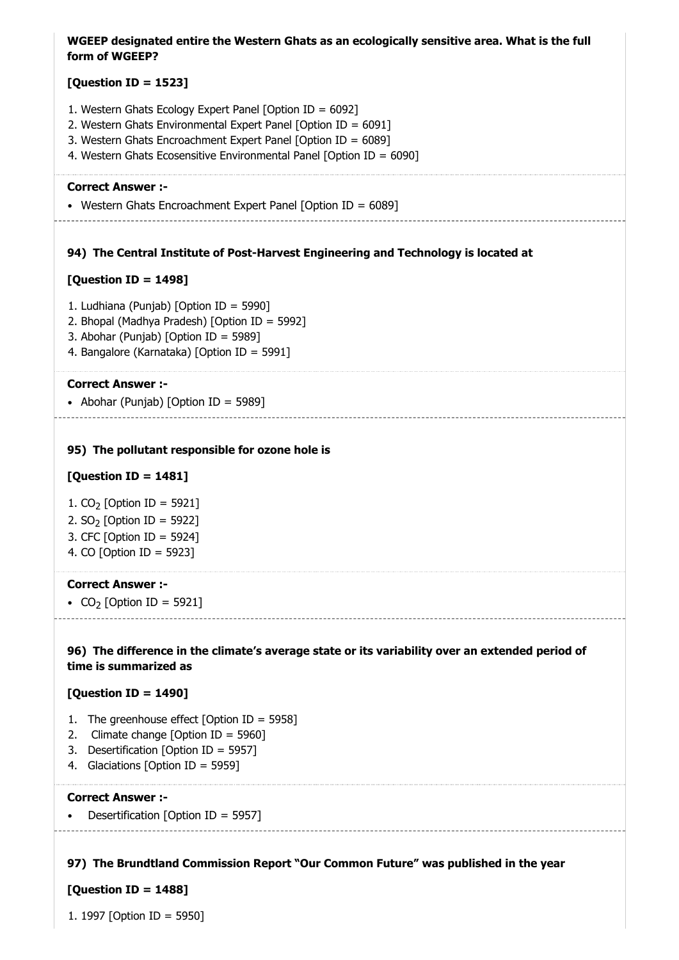| WGEEP designated entire the Western Ghats as an ecologically sensitive area. What is the full<br>form of WGEEP?                                                                                                                                                     |
|---------------------------------------------------------------------------------------------------------------------------------------------------------------------------------------------------------------------------------------------------------------------|
| [Question ID = 1523]                                                                                                                                                                                                                                                |
| 1. Western Ghats Ecology Expert Panel [Option ID = 6092]<br>2. Western Ghats Environmental Expert Panel [Option ID = 6091]<br>3. Western Ghats Encroachment Expert Panel [Option ID = 6089]<br>4. Western Ghats Ecosensitive Environmental Panel [Option ID = 6090] |
| <b>Correct Answer :-</b>                                                                                                                                                                                                                                            |
| • Western Ghats Encroachment Expert Panel [Option ID = 6089]                                                                                                                                                                                                        |
| 94) The Central Institute of Post-Harvest Engineering and Technology is located at                                                                                                                                                                                  |
| [Question ID = 1498]                                                                                                                                                                                                                                                |
| 1. Ludhiana (Punjab) [Option ID = 5990]<br>2. Bhopal (Madhya Pradesh) [Option ID = 5992]<br>3. Abohar (Punjab) [Option ID = 5989]<br>4. Bangalore (Karnataka) [Option ID = 5991]                                                                                    |
| <b>Correct Answer :-</b><br>• Abohar (Punjab) [Option ID = 5989]                                                                                                                                                                                                    |
| 95) The pollutant responsible for ozone hole is                                                                                                                                                                                                                     |
| [Question ID = $1481$ ]                                                                                                                                                                                                                                             |
| 1. $CO_2$ [Option ID = 5921]                                                                                                                                                                                                                                        |
| 2. $SO2$ [Option ID = 5922]                                                                                                                                                                                                                                         |
| 3. CFC [Option ID = 5924]<br>4. CO [Option ID = 5923]                                                                                                                                                                                                               |
| <b>Correct Answer :-</b>                                                                                                                                                                                                                                            |
| • CO <sub>2</sub> [Option ID = 5921]                                                                                                                                                                                                                                |
| 96) The difference in the climate's average state or its variability over an extended period of<br>time is summarized as                                                                                                                                            |
| [Question ID = 1490]                                                                                                                                                                                                                                                |
| The greenhouse effect [Option ID = 5958]<br>1.<br>2.<br>Climate change [Option ID = 5960]<br>3.<br>Desertification [Option ID = 5957]<br>Glaciations [Option ID = 5959]<br>4.                                                                                       |

Desertification [Option ID = 5957]  $\bullet$ 

#### 97) The Brundtland Commission Report "Our Common Future" was published in the year

### [Question ID = 1488]

1. 1997 [Option ID = 5950]